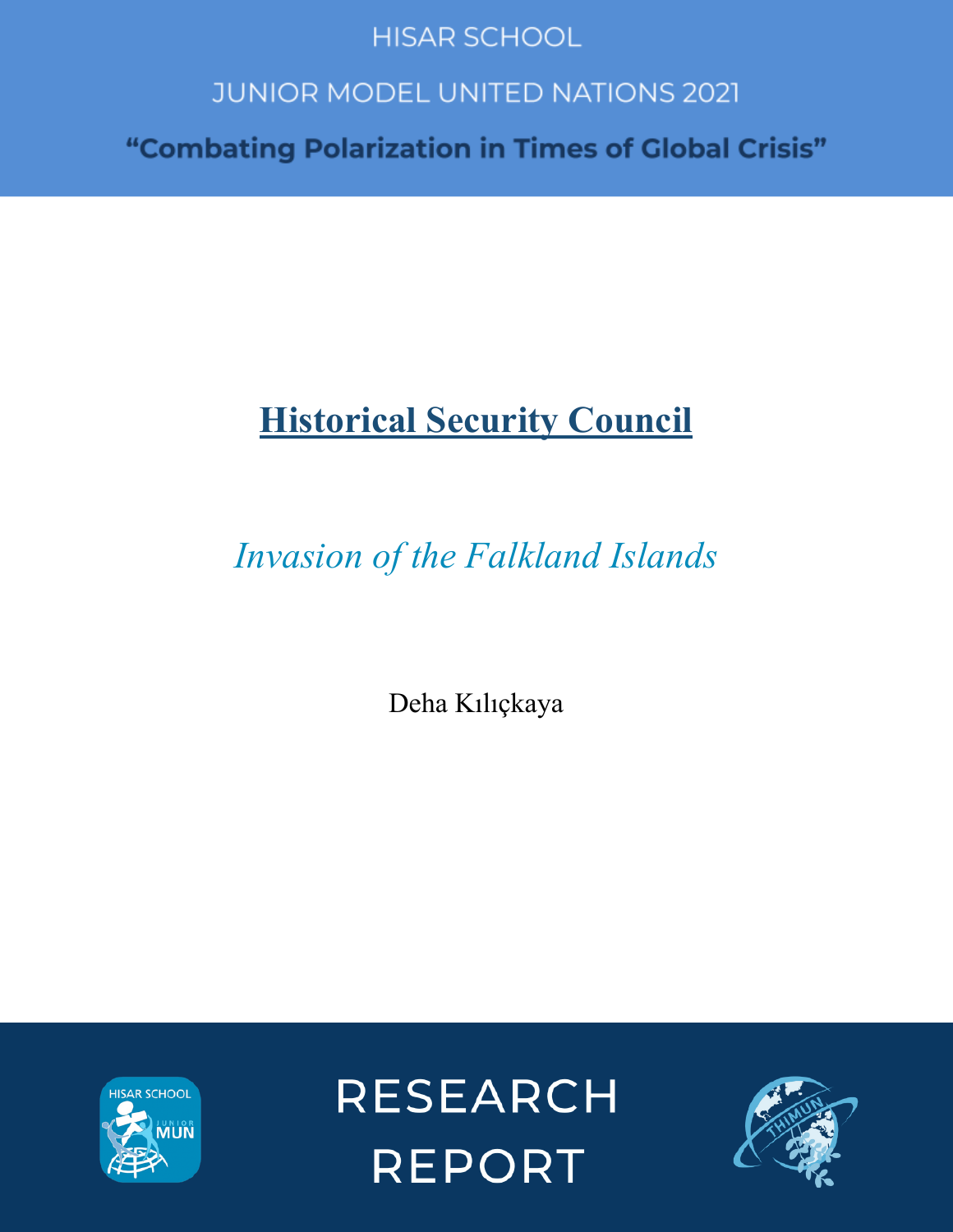# **HISAR SCHOOL**

# **JUNIOR MODEL UNITED NATIONS 2021**

"Combating Polarization in Times of Global Crisis"

# **Historical Security Council**

*Invasion of the Falkland Islands*

Deha Kılıçkaya



**RESEARCH REPORT** 

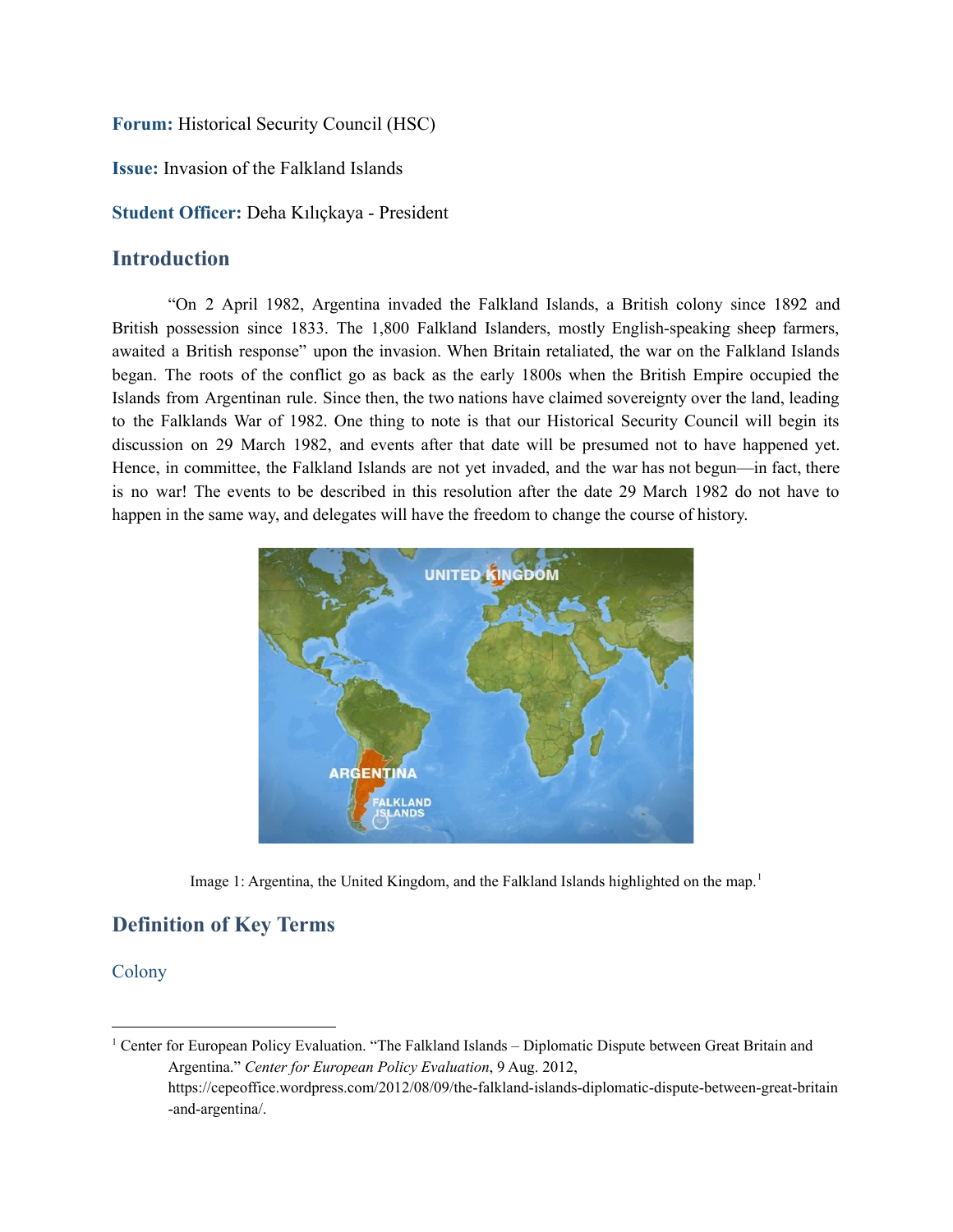#### **Forum:** Historical Security Council (HSC)

**Issue:** Invasion of the Falkland Islands

**Student Officer:** Deha Kılıçkaya - President

## **Introduction**

"On 2 April 1982, Argentina invaded the Falkland Islands, a British colony since 1892 and British possession since 1833. The 1,800 Falkland Islanders, mostly English-speaking sheep farmers, awaited a British response" upon the invasion. When Britain retaliated, the war on the Falkland Islands began. The roots of the conflict go as back as the early 1800s when the British Empire occupied the Islands from Argentinan rule. Since then, the two nations have claimed sovereignty over the land, leading to the Falklands War of 1982. One thing to note is that our Historical Security Council will begin its discussion on 29 March 1982, and events after that date will be presumed not to have happened yet. Hence, in committee, the Falkland Islands are not yet invaded, and the war has not begun—in fact, there is no war! The events to be described in this resolution after the date 29 March 1982 do not have to happen in the same way, and delegates will have the freedom to change the course of history.



Image 1: Argentina, the United Kingdom, and the Falkland Islands highlighted on the map.<sup>1</sup>

# **Definition of Key Terms**

#### Colony

<sup>1</sup> Center for European Policy Evaluation. "The Falkland Islands – Diplomatic Dispute between Great Britain and Argentina." *Center for European Policy Evaluation*, 9 Aug. 2012, https://cepeoffice.wordpress.com/2012/08/09/the-falkland-islands-diplomatic-dispute-between-great-britain -and-argentina/.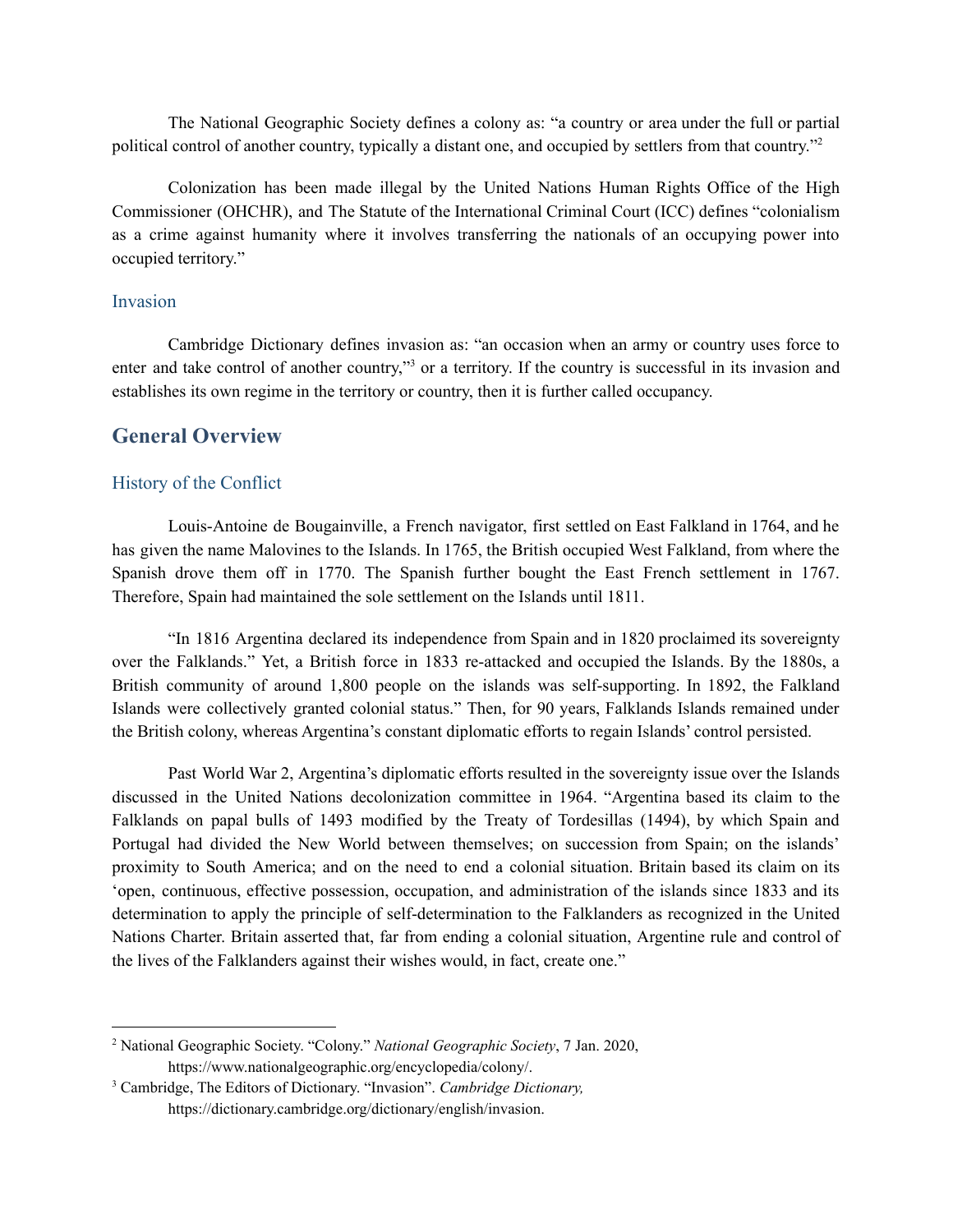The National Geographic Society defines a colony as: "a country or area under the full or partial political control of another country, typically a distant one, and occupied by settlers from that country."<sup>2</sup>

Colonization has been made illegal by the United Nations Human Rights Office of the High Commissioner (OHCHR), and The Statute of the International Criminal Court (ICC) defines "colonialism as a crime against humanity where it involves transferring the nationals of an occupying power into occupied territory."

#### Invasion

Cambridge Dictionary defines invasion as: "an occasion when an army or country uses force to enter and take control of another country,"<sup>3</sup> or a territory. If the country is successful in its invasion and establishes its own regime in the territory or country, then it is further called occupancy.

#### **General Overview**

#### History of the Conflict

Louis-Antoine de Bougainville, a French navigator, first settled on East Falkland in 1764, and he has given the name Malovines to the Islands. In 1765, the British occupied West Falkland, from where the Spanish drove them off in 1770. The Spanish further bought the East French settlement in 1767. Therefore, Spain had maintained the sole settlement on the Islands until 1811.

"In 1816 Argentina declared its independence from Spain and in 1820 proclaimed its sovereignty over the Falklands." Yet, a British force in 1833 re-attacked and occupied the Islands. By the 1880s, a British community of around 1,800 people on the islands was self-supporting. In 1892, the Falkland Islands were collectively granted colonial status." Then, for 90 years, Falklands Islands remained under the British colony, whereas Argentina's constant diplomatic efforts to regain Islands' control persisted.

Past World War 2, Argentina's diplomatic efforts resulted in the sovereignty issue over the Islands discussed in the United Nations decolonization committee in 1964. "Argentina based its claim to the Falklands on papal bulls of 1493 modified by the Treaty of Tordesillas (1494), by which Spain and Portugal had divided the New World between themselves; on succession from Spain; on the islands' proximity to South America; and on the need to end a colonial situation. Britain based its claim on its 'open, continuous, effective possession, occupation, and administration of the islands since 1833 and its determination to apply the principle of self-determination to the Falklanders as recognized in the United Nations Charter. Britain asserted that, far from ending a colonial situation, Argentine rule and control of the lives of the Falklanders against their wishes would, in fact, create one."

<sup>2</sup> National Geographic Society. "Colony." *National Geographic Society*, 7 Jan. 2020, https://www.nationalgeographic.org/encyclopedia/colony/.

<sup>3</sup> Cambridge, The Editors of Dictionary. "Invasion". *Cambridge Dictionary,* https://dictionary.cambridge.org/dictionary/english/invasion.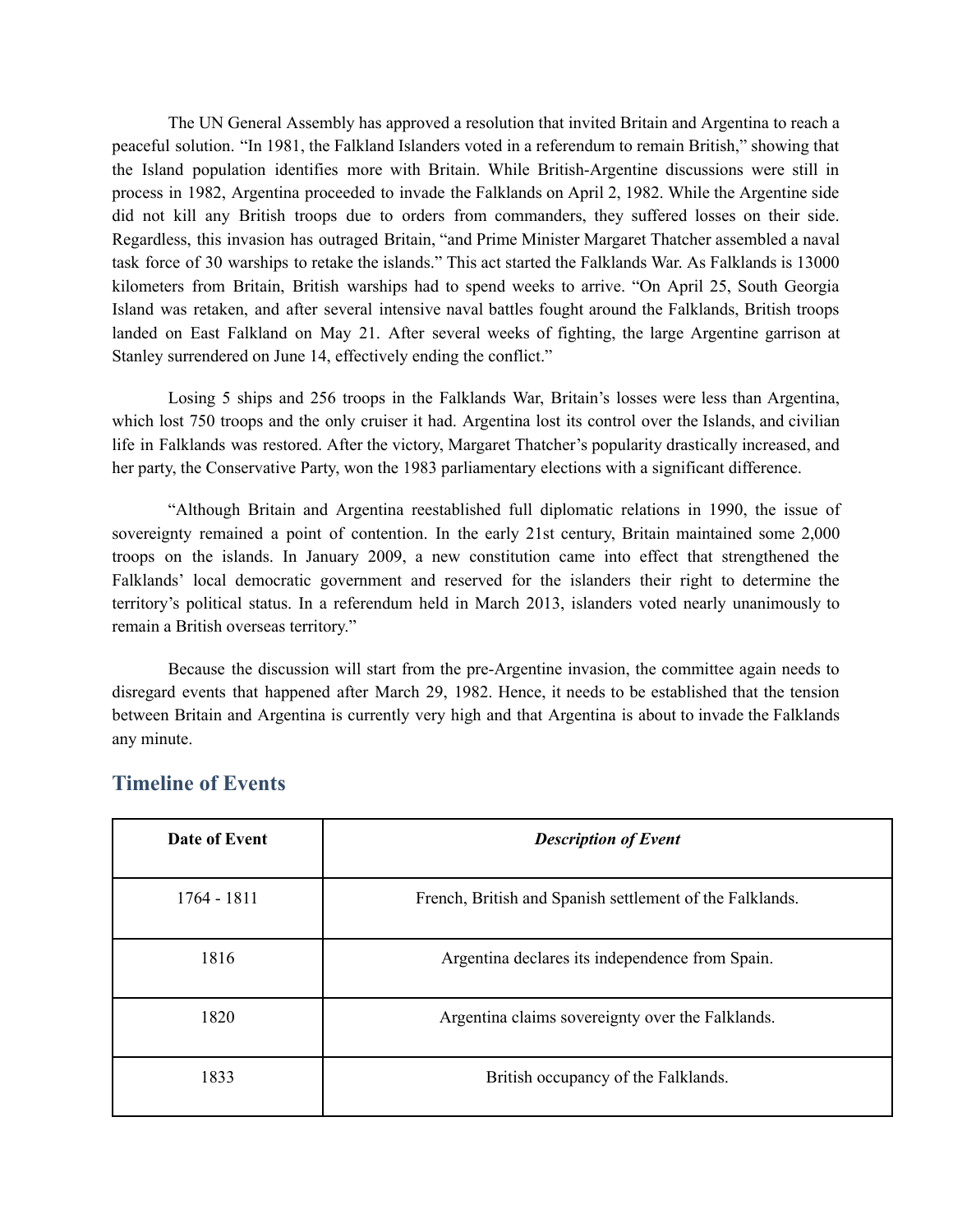The UN General Assembly has approved a resolution that invited Britain and Argentina to reach a peaceful solution. "In 1981, the Falkland Islanders voted in a referendum to remain British," showing that the Island population identifies more with Britain. While British-Argentine discussions were still in process in 1982, Argentina proceeded to invade the Falklands on April 2, 1982. While the Argentine side did not kill any British troops due to orders from commanders, they suffered losses on their side. Regardless, this invasion has outraged Britain, "and Prime Minister Margaret Thatcher assembled a naval task force of 30 warships to retake the islands." This act started the Falklands War. As Falklands is 13000 kilometers from Britain, British warships had to spend weeks to arrive. "On April 25, South Georgia Island was retaken, and after several intensive naval battles fought around the Falklands, British troops landed on East Falkland on May 21. After several weeks of fighting, the large Argentine garrison at Stanley surrendered on June 14, effectively ending the conflict."

Losing 5 ships and 256 troops in the Falklands War, Britain's losses were less than Argentina, which lost 750 troops and the only cruiser it had. Argentina lost its control over the Islands, and civilian life in Falklands was restored. After the victory, Margaret Thatcher's popularity drastically increased, and her party, the Conservative Party, won the 1983 parliamentary elections with a significant difference.

"Although Britain and Argentina reestablished full diplomatic relations in 1990, the issue of sovereignty remained a point of contention. In the early 21st century, Britain maintained some 2,000 troops on the islands. In January 2009, a new constitution came into effect that strengthened the Falklands' local democratic government and reserved for the islanders their right to determine the territory's political status. In a referendum held in March 2013, islanders voted nearly unanimously to remain a British overseas territory."

Because the discussion will start from the pre-Argentine invasion, the committee again needs to disregard events that happened after March 29, 1982. Hence, it needs to be established that the tension between Britain and Argentina is currently very high and that Argentina is about to invade the Falklands any minute.

| Date of Event | <b>Description of Event</b>                              |
|---------------|----------------------------------------------------------|
| 1764 - 1811   | French, British and Spanish settlement of the Falklands. |
| 1816          | Argentina declares its independence from Spain.          |
| 1820          | Argentina claims sovereignty over the Falklands.         |
| 1833          | British occupancy of the Falklands.                      |

## **Timeline of Events**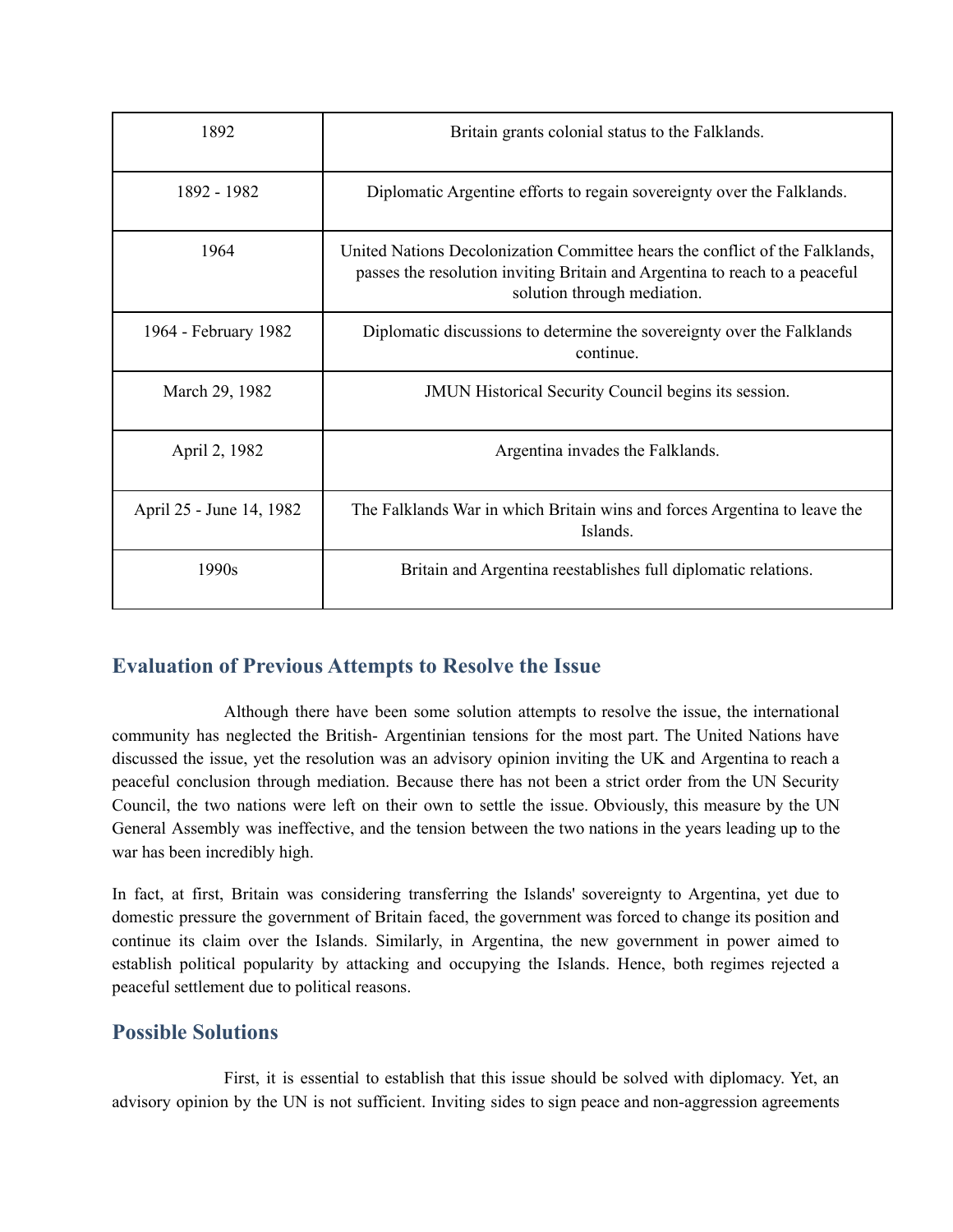| 1892                     | Britain grants colonial status to the Falklands.                                                                                                                                           |
|--------------------------|--------------------------------------------------------------------------------------------------------------------------------------------------------------------------------------------|
| 1892 - 1982              | Diplomatic Argentine efforts to regain sovereignty over the Falklands.                                                                                                                     |
| 1964                     | United Nations Decolonization Committee hears the conflict of the Falklands,<br>passes the resolution inviting Britain and Argentina to reach to a peaceful<br>solution through mediation. |
| 1964 - February 1982     | Diplomatic discussions to determine the sovereignty over the Falklands<br>continue.                                                                                                        |
| March 29, 1982           | <b>JMUN Historical Security Council begins its session.</b>                                                                                                                                |
| April 2, 1982            | Argentina invades the Falklands.                                                                                                                                                           |
| April 25 - June 14, 1982 | The Falklands War in which Britain wins and forces Argentina to leave the<br>Islands.                                                                                                      |
| 1990s                    | Britain and Argentina reestablishes full diplomatic relations.                                                                                                                             |

# **Evaluation of Previous Attempts to Resolve the Issue**

Although there have been some solution attempts to resolve the issue, the international community has neglected the British- Argentinian tensions for the most part. The United Nations have discussed the issue, yet the resolution was an advisory opinion inviting the UK and Argentina to reach a peaceful conclusion through mediation. Because there has not been a strict order from the UN Security Council, the two nations were left on their own to settle the issue. Obviously, this measure by the UN General Assembly was ineffective, and the tension between the two nations in the years leading up to the war has been incredibly high.

In fact, at first, Britain was considering transferring the Islands' sovereignty to Argentina, yet due to domestic pressure the government of Britain faced, the government was forced to change its position and continue its claim over the Islands. Similarly, in Argentina, the new government in power aimed to establish political popularity by attacking and occupying the Islands. Hence, both regimes rejected a peaceful settlement due to political reasons.

## **Possible Solutions**

First, it is essential to establish that this issue should be solved with diplomacy. Yet, an advisory opinion by the UN is not sufficient. Inviting sides to sign peace and non-aggression agreements